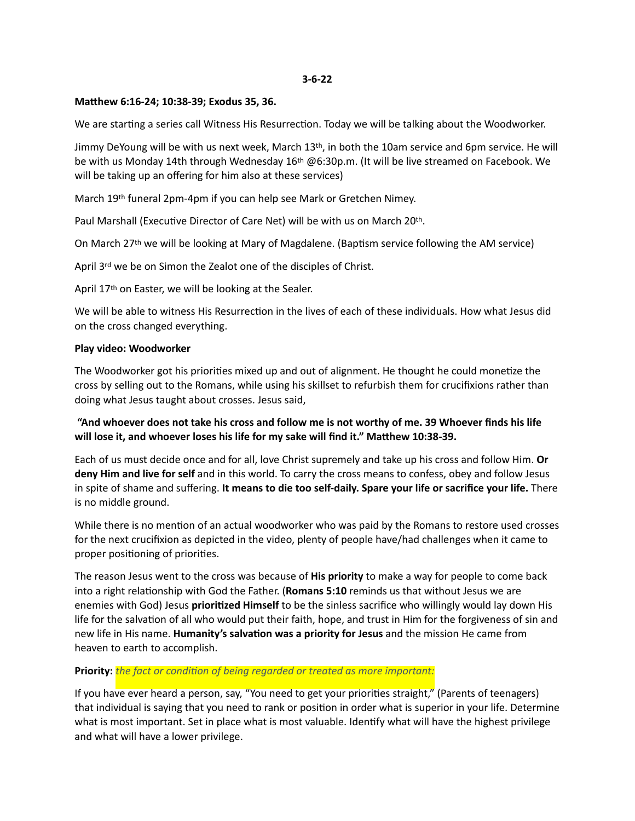#### **Matthew 6:16-24; 10:38-39; Exodus 35, 36.**

We are starting a series call Witness His Resurrection. Today we will be talking about the Woodworker.

Jimmy DeYoung will be with us next week, March 13<sup>th</sup>, in both the 10am service and 6pm service. He will be with us Monday 14th through Wednesday 16th @6:30p.m. (It will be live streamed on Facebook. We will be taking up an offering for him also at these services)

March 19th funeral 2pm-4pm if you can help see Mark or Gretchen Nimey.

Paul Marshall (Executive Director of Care Net) will be with us on March 20th.

On March 27th we will be looking at Mary of Magdalene. (Baptism service following the AM service)

April 3rd we be on Simon the Zealot one of the disciples of Christ.

April 17th on Easter, we will be looking at the Sealer.

We will be able to witness His Resurrection in the lives of each of these individuals. How what Jesus did on the cross changed everything.

#### **Play video: Woodworker**

The Woodworker got his priorities mixed up and out of alignment. He thought he could monetize the cross by selling out to the Romans, while using his skillset to refurbish them for crucifixions rather than doing what Jesus taught about crosses. Jesus said,

# **"And whoever does not take his cross and follow me is not worthy of me. 39 Whoever finds his life will lose it, and whoever loses his life for my sake will find it." Matthew 10:38-39.**

Each of us must decide once and for all, love Christ supremely and take up his cross and follow Him. **Or deny Him and live for self** and in this world. To carry the cross means to confess, obey and follow Jesus in spite of shame and suffering. **It means to die too self-daily. Spare your life or sacrifice your life.** There is no middle ground.

While there is no mention of an actual woodworker who was paid by the Romans to restore used crosses for the next crucifixion as depicted in the video, plenty of people have/had challenges when it came to proper positioning of priorities.

The reason Jesus went to the cross was because of **His priority** to make a way for people to come back into a right relationship with God the Father. (**Romans 5:10** reminds us that without Jesus we are enemies with God) Jesus **prioritized Himself** to be the sinless sacrifice who willingly would lay down His life for the salvation of all who would put their faith, hope, and trust in Him for the forgiveness of sin and new life in His name. **Humanity's salvation was a priority for Jesus** and the mission He came from heaven to earth to accomplish.

#### **Priority:** *the fact or condition of being regarded or treated as more important:*

If you have ever heard a person, say, "You need to get your priorities straight," (Parents of teenagers) that individual is saying that you need to rank or position in order what is superior in your life. Determine what is most important. Set in place what is most valuable. Identify what will have the highest privilege and what will have a lower privilege.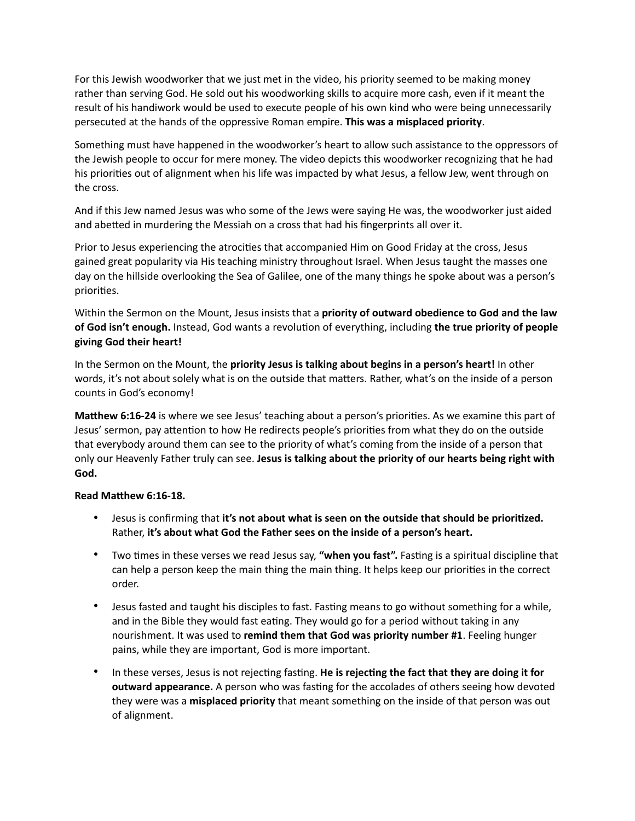For this Jewish woodworker that we just met in the video, his priority seemed to be making money rather than serving God. He sold out his woodworking skills to acquire more cash, even if it meant the result of his handiwork would be used to execute people of his own kind who were being unnecessarily persecuted at the hands of the oppressive Roman empire. **This was a misplaced priority**.

Something must have happened in the woodworker's heart to allow such assistance to the oppressors of the Jewish people to occur for mere money. The video depicts this woodworker recognizing that he had his priorities out of alignment when his life was impacted by what Jesus, a fellow Jew, went through on the cross.

And if this Jew named Jesus was who some of the Jews were saying He was, the woodworker just aided and abetted in murdering the Messiah on a cross that had his fingerprints all over it.

Prior to Jesus experiencing the atrocities that accompanied Him on Good Friday at the cross, Jesus gained great popularity via His teaching ministry throughout Israel. When Jesus taught the masses one day on the hillside overlooking the Sea of Galilee, one of the many things he spoke about was a person's priorities.

Within the Sermon on the Mount, Jesus insists that a **priority of outward obedience to God and the law of God isn't enough.** Instead, God wants a revolution of everything, including **the true priority of people giving God their heart!**

In the Sermon on the Mount, the **priority Jesus is talking about begins in a person's heart!** In other words, it's not about solely what is on the outside that matters. Rather, what's on the inside of a person counts in God's economy!

**Matthew 6:16-24** is where we see Jesus' teaching about a person's priorities. As we examine this part of Jesus' sermon, pay attention to how He redirects people's priorities from what they do on the outside that everybody around them can see to the priority of what's coming from the inside of a person that only our Heavenly Father truly can see. **Jesus is talking about the priority of our hearts being right with God.**

# **Read Matthew 6:16-18.**

- Jesus is confirming that **it's not about what is seen on the outside that should be prioritized.** Rather, **it's about what God the Father sees on the inside of a person's heart.**
- Two times in these verses we read Jesus say, **"when you fast".** Fasting is a spiritual discipline that can help a person keep the main thing the main thing. It helps keep our priorities in the correct order.
- Jesus fasted and taught his disciples to fast. Fasting means to go without something for a while, and in the Bible they would fast eating. They would go for a period without taking in any nourishment. It was used to **remind them that God was priority number #1**. Feeling hunger pains, while they are important, God is more important.
- In these verses, Jesus is not rejecting fasting. **He is rejecting the fact that they are doing it for outward appearance.** A person who was fasting for the accolades of others seeing how devoted they were was a **misplaced priority** that meant something on the inside of that person was out of alignment.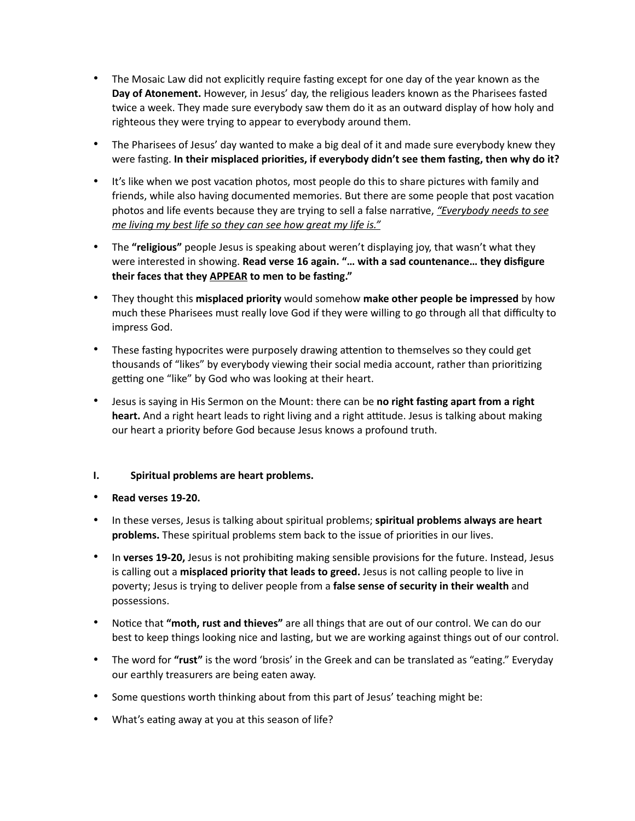- The Mosaic Law did not explicitly require fasting except for one day of the year known as the **Day of Atonement.** However, in Jesus' day, the religious leaders known as the Pharisees fasted twice a week. They made sure everybody saw them do it as an outward display of how holy and righteous they were trying to appear to everybody around them.
- The Pharisees of Jesus' day wanted to make a big deal of it and made sure everybody knew they were fasting. **In their misplaced priorities, if everybody didn't see them fasting, then why do it?**
- It's like when we post vacation photos, most people do this to share pictures with family and friends, while also having documented memories. But there are some people that post vacation photos and life events because they are trying to sell a false narrative, *"Everybody needs to see me living my best life so they can see how great my life is."*
- The **"religious"** people Jesus is speaking about weren't displaying joy, that wasn't what they were interested in showing. **Read verse 16 again. "… with a sad countenance… they disfigure their faces that they APPEAR to men to be fasting."**
- They thought this **misplaced priority** would somehow **make other people be impressed** by how much these Pharisees must really love God if they were willing to go through all that difficulty to impress God.
- These fasting hypocrites were purposely drawing attention to themselves so they could get thousands of "likes" by everybody viewing their social media account, rather than prioritizing getting one "like" by God who was looking at their heart.
- Jesus is saying in His Sermon on the Mount: there can be **no right fasting apart from a right heart.** And a right heart leads to right living and a right attitude. Jesus is talking about making our heart a priority before God because Jesus knows a profound truth.

# **I. Spiritual problems are heart problems.**

- **Read verses 19-20.**
- In these verses, Jesus is talking about spiritual problems; **spiritual problems always are heart problems.** These spiritual problems stem back to the issue of priorities in our lives.
- In **verses 19-20,** Jesus is not prohibiting making sensible provisions for the future. Instead, Jesus is calling out a **misplaced priority that leads to greed.** Jesus is not calling people to live in poverty; Jesus is trying to deliver people from a **false sense of security in their wealth** and possessions.
- Notice that **"moth, rust and thieves"** are all things that are out of our control. We can do our best to keep things looking nice and lasting, but we are working against things out of our control.
- The word for **"rust"** is the word 'brosis' in the Greek and can be translated as "eating." Everyday our earthly treasurers are being eaten away.
- Some questions worth thinking about from this part of Jesus' teaching might be:
- What's eating away at you at this season of life?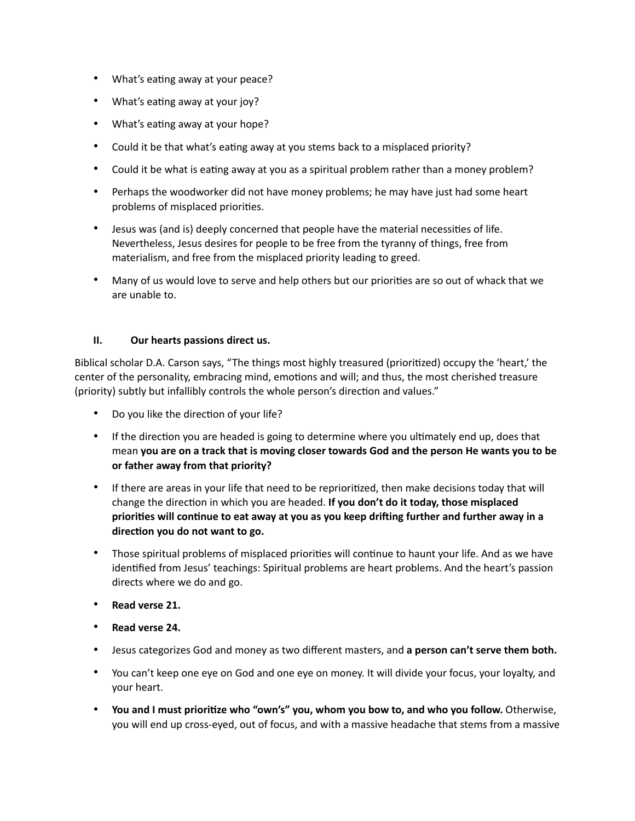- What's eating away at your peace?
- What's eating away at your joy?
- What's eating away at your hope?
- Could it be that what's eating away at you stems back to a misplaced priority?
- Could it be what is eating away at you as a spiritual problem rather than a money problem?
- Perhaps the woodworker did not have money problems; he may have just had some heart problems of misplaced priorities.
- Jesus was (and is) deeply concerned that people have the material necessities of life. Nevertheless, Jesus desires for people to be free from the tyranny of things, free from materialism, and free from the misplaced priority leading to greed.
- Many of us would love to serve and help others but our priorities are so out of whack that we are unable to.

# **II. Our hearts passions direct us.**

Biblical scholar D.A. Carson says, "The things most highly treasured (prioritized) occupy the 'heart,' the center of the personality, embracing mind, emotions and will; and thus, the most cherished treasure (priority) subtly but infallibly controls the whole person's direction and values."

- Do you like the direction of your life?
- If the direction you are headed is going to determine where you ultimately end up, does that mean **you are on a track that is moving closer towards God and the person He wants you to be or father away from that priority?**
- If there are areas in your life that need to be reprioritized, then make decisions today that will change the direction in which you are headed. **If you don't do it today, those misplaced priorities will continue to eat away at you as you keep drifting further and further away in a direction you do not want to go.**
- Those spiritual problems of misplaced priorities will continue to haunt your life. And as we have identified from Jesus' teachings: Spiritual problems are heart problems. And the heart's passion directs where we do and go.
- **Read verse 21.**
- **Read verse 24.**
- Jesus categorizes God and money as two different masters, and **a person can't serve them both.**
- You can't keep one eye on God and one eye on money. It will divide your focus, your loyalty, and your heart.
- **You and I must prioritize who "own's" you, whom you bow to, and who you follow.** Otherwise, you will end up cross-eyed, out of focus, and with a massive headache that stems from a massive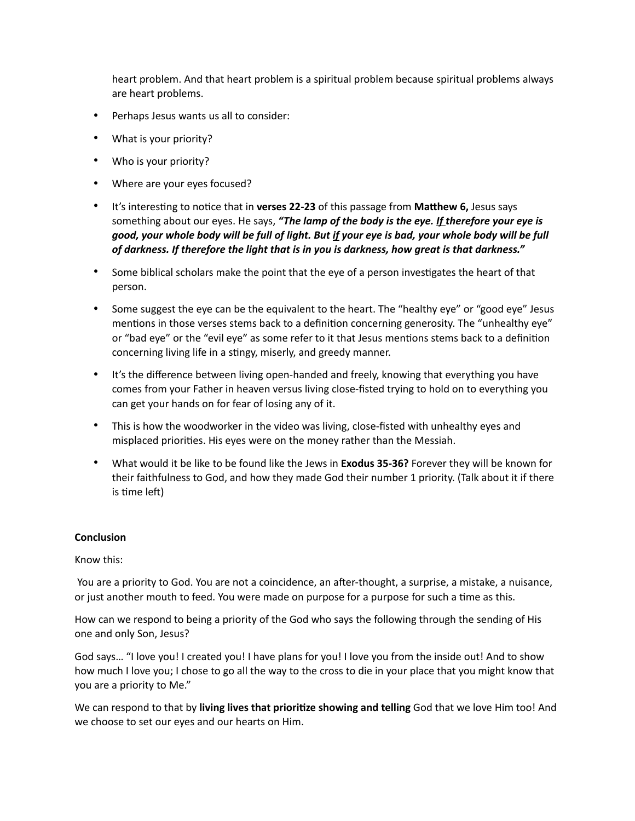heart problem. And that heart problem is a spiritual problem because spiritual problems always are heart problems.

- Perhaps Jesus wants us all to consider:
- What is your priority?
- Who is your priority?
- Where are your eyes focused?
- It's interesting to notice that in **verses 22-23** of this passage from **Matthew 6,** Jesus says something about our eyes. He says, *"The lamp of the body is the eye. If therefore your eye is good, your whole body will be full of light. But if your eye is bad, your whole body will be full of darkness. If therefore the light that is in you is darkness, how great is that darkness."*
- Some biblical scholars make the point that the eye of a person investigates the heart of that person.
- Some suggest the eye can be the equivalent to the heart. The "healthy eye" or "good eye" Jesus mentions in those verses stems back to a definition concerning generosity. The "unhealthy eye" or "bad eye" or the "evil eye" as some refer to it that Jesus mentions stems back to a definition concerning living life in a stingy, miserly, and greedy manner.
- It's the difference between living open-handed and freely, knowing that everything you have comes from your Father in heaven versus living close-fisted trying to hold on to everything you can get your hands on for fear of losing any of it.
- This is how the woodworker in the video was living, close-fisted with unhealthy eyes and misplaced priorities. His eyes were on the money rather than the Messiah.
- What would it be like to be found like the Jews in **Exodus 35-36?** Forever they will be known for their faithfulness to God, and how they made God their number 1 priority. (Talk about it if there is time left)

# **Conclusion**

# Know this:

 You are a priority to God. You are not a coincidence, an after-thought, a surprise, a mistake, a nuisance, or just another mouth to feed. You were made on purpose for a purpose for such a time as this.

How can we respond to being a priority of the God who says the following through the sending of His one and only Son, Jesus?

God says… "I love you! I created you! I have plans for you! I love you from the inside out! And to show how much I love you; I chose to go all the way to the cross to die in your place that you might know that you are a priority to Me."

We can respond to that by **living lives that prioritize showing and telling** God that we love Him too! And we choose to set our eyes and our hearts on Him.